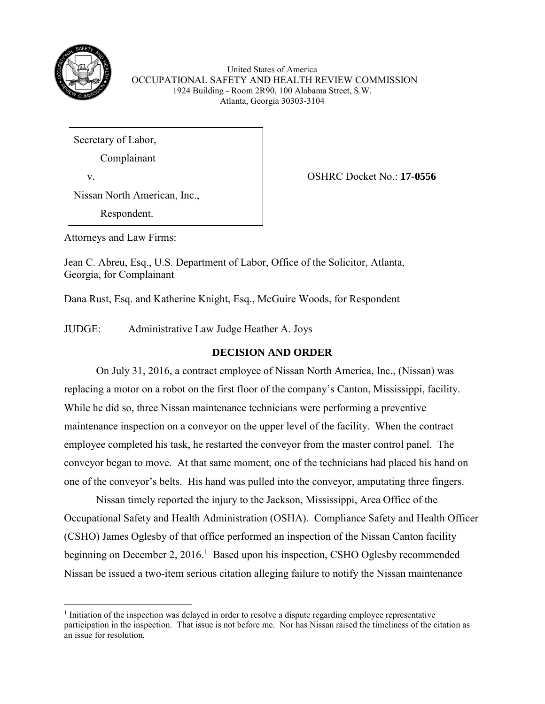

United States of America OCCUPATIONAL SAFETY AND HEALTH REVIEW COMMISSION 1924 Building - Room 2R90, 100 Alabama Street, S.W. Atlanta, Georgia 30303-3104

Secretary of Labor,

Complainant

 $\overline{\phantom{a}}$ 

v. OSHRC Docket No.: **17-0556**

Nissan North American, Inc.,

Respondent.

Attorneys and Law Firms:

Jean C. Abreu, Esq., U.S. Department of Labor, Office of the Solicitor, Atlanta, Georgia, for Complainant

Dana Rust, Esq. and Katherine Knight, Esq., McGuire Woods, for Respondent

JUDGE: Administrative Law Judge Heather A. Joys

# **DECISION AND ORDER**

On July 31, 2016, a contract employee of Nissan North America, Inc., (Nissan) was replacing a motor on a robot on the first floor of the company's Canton, Mississippi, facility. While he did so, three Nissan maintenance technicians were performing a preventive maintenance inspection on a conveyor on the upper level of the facility. When the contract employee completed his task, he restarted the conveyor from the master control panel. The conveyor began to move. At that same moment, one of the technicians had placed his hand on one of the conveyor's belts. His hand was pulled into the conveyor, amputating three fingers.

Nissan timely reported the injury to the Jackson, Mississippi, Area Office of the Occupational Safety and Health Administration (OSHA). Compliance Safety and Health Officer (CSHO) James Oglesby of that office performed an inspection of the Nissan Canton facility beginning on December 2, 2016.<sup>1</sup> Based upon his inspection, CSHO Oglesby recommended Nissan be issued a two-item serious citation alleging failure to notify the Nissan maintenance

<sup>&</sup>lt;sup>1</sup> Initiation of the inspection was delayed in order to resolve a dispute regarding employee representative participation in the inspection. That issue is not before me. Nor has Nissan raised the timeliness of the citation as an issue for resolution.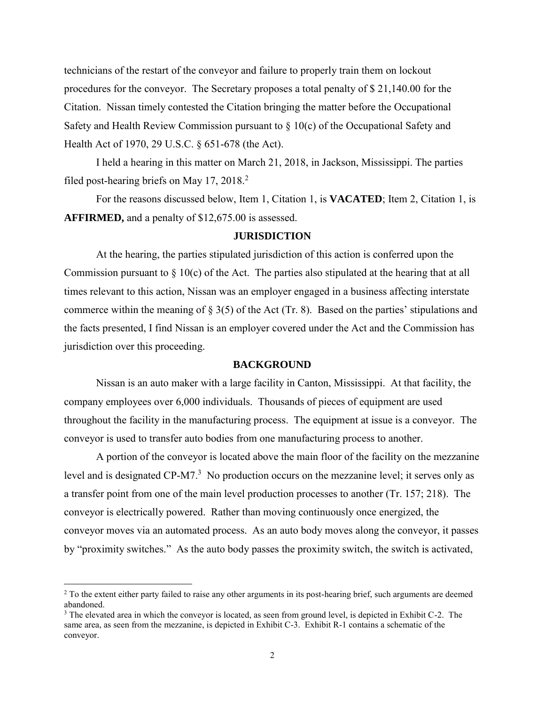technicians of the restart of the conveyor and failure to properly train them on lockout procedures for the conveyor. The Secretary proposes a total penalty of \$ 21,140.00 for the Citation. Nissan timely contested the Citation bringing the matter before the Occupational Safety and Health Review Commission pursuant to  $\S$  10(c) of the Occupational Safety and Health Act of 1970, 29 U.S.C. § 651-678 (the Act).

I held a hearing in this matter on March 21, 2018, in Jackson, Mississippi. The parties filed post-hearing briefs on May 17, 2018.<sup>2</sup>

For the reasons discussed below, Item 1, Citation 1, is **VACATED**; Item 2, Citation 1, is **AFFIRMED,** and a penalty of \$12,675.00 is assessed.

### **JURISDICTION**

At the hearing, the parties stipulated jurisdiction of this action is conferred upon the Commission pursuant to  $\S$  10(c) of the Act. The parties also stipulated at the hearing that at all times relevant to this action, Nissan was an employer engaged in a business affecting interstate commerce within the meaning of  $\S 3(5)$  of the Act (Tr. 8). Based on the parties' stipulations and the facts presented, I find Nissan is an employer covered under the Act and the Commission has jurisdiction over this proceeding.

#### **BACKGROUND**

Nissan is an auto maker with a large facility in Canton, Mississippi. At that facility, the company employees over 6,000 individuals. Thousands of pieces of equipment are used throughout the facility in the manufacturing process. The equipment at issue is a conveyor. The conveyor is used to transfer auto bodies from one manufacturing process to another.

A portion of the conveyor is located above the main floor of the facility on the mezzanine level and is designated CP-M7.<sup>3</sup> No production occurs on the mezzanine level; it serves only as a transfer point from one of the main level production processes to another (Tr. 157; 218). The conveyor is electrically powered. Rather than moving continuously once energized, the conveyor moves via an automated process. As an auto body moves along the conveyor, it passes by "proximity switches." As the auto body passes the proximity switch, the switch is activated,

l

<sup>&</sup>lt;sup>2</sup> To the extent either party failed to raise any other arguments in its post-hearing brief, such arguments are deemed abandoned.

<sup>&</sup>lt;sup>3</sup> The elevated area in which the conveyor is located, as seen from ground level, is depicted in Exhibit C-2. The same area, as seen from the mezzanine, is depicted in Exhibit C-3. Exhibit R-1 contains a schematic of the conveyor.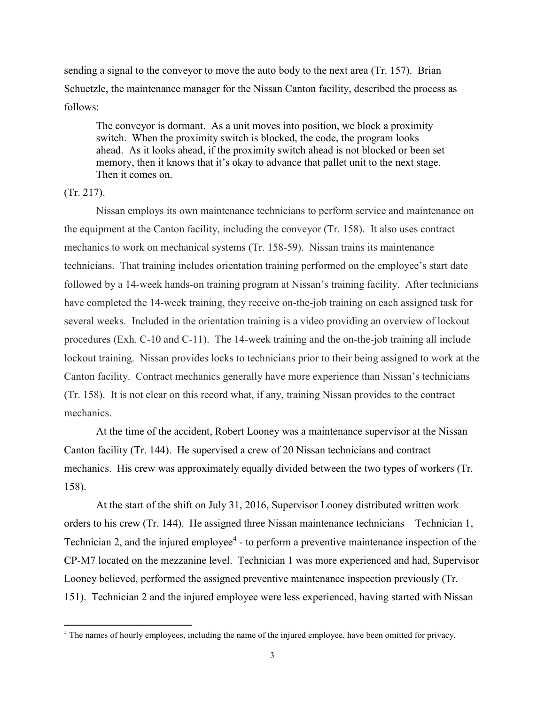sending a signal to the conveyor to move the auto body to the next area (Tr. 157). Brian Schuetzle, the maintenance manager for the Nissan Canton facility, described the process as follows:

The conveyor is dormant. As a unit moves into position, we block a proximity switch. When the proximity switch is blocked, the code, the program looks ahead. As it looks ahead, if the proximity switch ahead is not blocked or been set memory, then it knows that it's okay to advance that pallet unit to the next stage. Then it comes on.

## (Tr. 217).

 $\overline{\phantom{a}}$ 

Nissan employs its own maintenance technicians to perform service and maintenance on the equipment at the Canton facility, including the conveyor (Tr. 158). It also uses contract mechanics to work on mechanical systems (Tr. 158-59). Nissan trains its maintenance technicians. That training includes orientation training performed on the employee's start date followed by a 14-week hands-on training program at Nissan's training facility. After technicians have completed the 14-week training, they receive on-the-job training on each assigned task for several weeks. Included in the orientation training is a video providing an overview of lockout procedures (Exh. C-10 and C-11). The 14-week training and the on-the-job training all include lockout training. Nissan provides locks to technicians prior to their being assigned to work at the Canton facility. Contract mechanics generally have more experience than Nissan's technicians (Tr. 158). It is not clear on this record what, if any, training Nissan provides to the contract mechanics.

At the time of the accident, Robert Looney was a maintenance supervisor at the Nissan Canton facility (Tr. 144). He supervised a crew of 20 Nissan technicians and contract mechanics. His crew was approximately equally divided between the two types of workers (Tr. 158).

At the start of the shift on July 31, 2016, Supervisor Looney distributed written work orders to his crew (Tr. 144). He assigned three Nissan maintenance technicians – Technician 1, Technician 2, and the injured employee<sup>4</sup> - to perform a preventive maintenance inspection of the CP-M7 located on the mezzanine level. Technician 1 was more experienced and had, Supervisor Looney believed, performed the assigned preventive maintenance inspection previously (Tr. 151). Technician 2 and the injured employee were less experienced, having started with Nissan

<sup>4</sup> The names of hourly employees, including the name of the injured employee, have been omitted for privacy.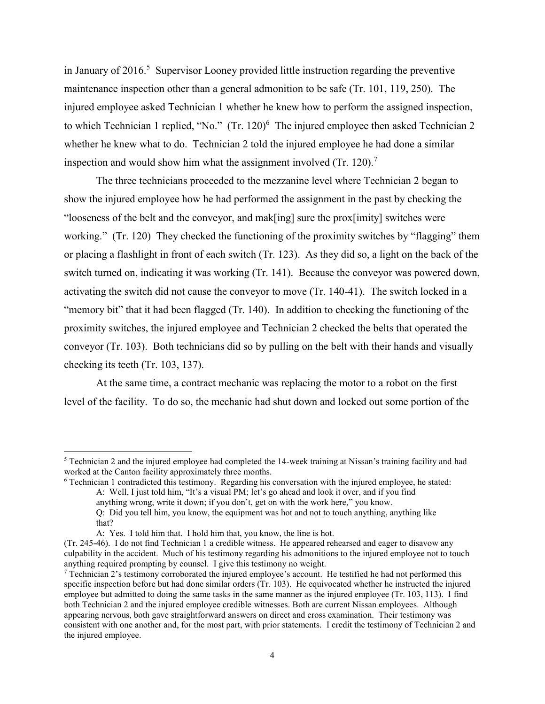in January of  $2016$ <sup>5</sup> Supervisor Looney provided little instruction regarding the preventive maintenance inspection other than a general admonition to be safe (Tr. 101, 119, 250). The injured employee asked Technician 1 whether he knew how to perform the assigned inspection, to which Technician 1 replied, "No."  $(Tr. 120)^6$  The injured employee then asked Technician 2 whether he knew what to do. Technician 2 told the injured employee he had done a similar inspection and would show him what the assignment involved  $(Tr. 120)^7$ 

The three technicians proceeded to the mezzanine level where Technician 2 began to show the injured employee how he had performed the assignment in the past by checking the "looseness of the belt and the conveyor, and mak[ing] sure the prox[imity] switches were working." (Tr. 120) They checked the functioning of the proximity switches by "flagging" them or placing a flashlight in front of each switch (Tr. 123). As they did so, a light on the back of the switch turned on, indicating it was working (Tr. 141). Because the conveyor was powered down, activating the switch did not cause the conveyor to move (Tr. 140-41). The switch locked in a "memory bit" that it had been flagged (Tr. 140). In addition to checking the functioning of the proximity switches, the injured employee and Technician 2 checked the belts that operated the conveyor (Tr. 103). Both technicians did so by pulling on the belt with their hands and visually checking its teeth (Tr. 103, 137).

At the same time, a contract mechanic was replacing the motor to a robot on the first level of the facility. To do so, the mechanic had shut down and locked out some portion of the

<sup>6</sup> Technician 1 contradicted this testimony. Regarding his conversation with the injured employee, he stated: A: Well, I just told him, "It's a visual PM; let's go ahead and look it over, and if you find anything wrong, write it down; if you don't, get on with the work here," you know. Q: Did you tell him, you know, the equipment was hot and not to touch anything, anything like that?

<sup>5</sup> Technician 2 and the injured employee had completed the 14-week training at Nissan's training facility and had worked at the Canton facility approximately three months.

A: Yes. I told him that. I hold him that, you know, the line is hot.

<sup>(</sup>Tr. 245-46). I do not find Technician 1 a credible witness. He appeared rehearsed and eager to disavow any culpability in the accident. Much of his testimony regarding his admonitions to the injured employee not to touch anything required prompting by counsel. I give this testimony no weight.

 $^7$  Technician 2's testimony corroborated the injured employee's account. He testified he had not performed this specific inspection before but had done similar orders (Tr. 103). He equivocated whether he instructed the injured employee but admitted to doing the same tasks in the same manner as the injured employee (Tr. 103, 113). I find both Technician 2 and the injured employee credible witnesses. Both are current Nissan employees. Although appearing nervous, both gave straightforward answers on direct and cross examination. Their testimony was consistent with one another and, for the most part, with prior statements. I credit the testimony of Technician 2 and the injured employee.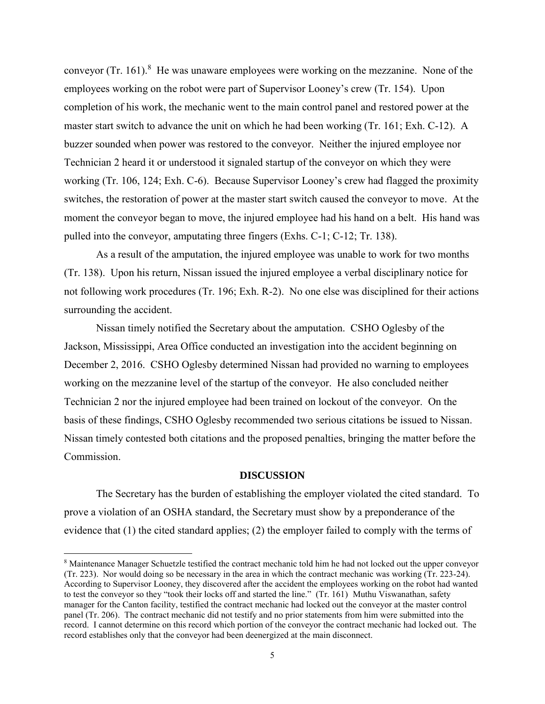conveyor (Tr. 161).<sup>8</sup> He was unaware employees were working on the mezzanine. None of the employees working on the robot were part of Supervisor Looney's crew (Tr. 154). Upon completion of his work, the mechanic went to the main control panel and restored power at the master start switch to advance the unit on which he had been working (Tr. 161; Exh. C-12). A buzzer sounded when power was restored to the conveyor. Neither the injured employee nor Technician 2 heard it or understood it signaled startup of the conveyor on which they were working (Tr. 106, 124; Exh. C-6). Because Supervisor Looney's crew had flagged the proximity switches, the restoration of power at the master start switch caused the conveyor to move. At the moment the conveyor began to move, the injured employee had his hand on a belt. His hand was pulled into the conveyor, amputating three fingers (Exhs. C-1; C-12; Tr. 138).

As a result of the amputation, the injured employee was unable to work for two months (Tr. 138). Upon his return, Nissan issued the injured employee a verbal disciplinary notice for not following work procedures (Tr. 196; Exh. R-2). No one else was disciplined for their actions surrounding the accident.

Nissan timely notified the Secretary about the amputation. CSHO Oglesby of the Jackson, Mississippi, Area Office conducted an investigation into the accident beginning on December 2, 2016. CSHO Oglesby determined Nissan had provided no warning to employees working on the mezzanine level of the startup of the conveyor. He also concluded neither Technician 2 nor the injured employee had been trained on lockout of the conveyor. On the basis of these findings, CSHO Oglesby recommended two serious citations be issued to Nissan. Nissan timely contested both citations and the proposed penalties, bringing the matter before the Commission.

#### **DISCUSSION**

The Secretary has the burden of establishing the employer violated the cited standard. To prove a violation of an OSHA standard, the Secretary must show by a preponderance of the evidence that (1) the cited standard applies; (2) the employer failed to comply with the terms of

 $\overline{a}$ 

<sup>8</sup> Maintenance Manager Schuetzle testified the contract mechanic told him he had not locked out the upper conveyor (Tr. 223). Nor would doing so be necessary in the area in which the contract mechanic was working (Tr. 223-24). According to Supervisor Looney, they discovered after the accident the employees working on the robot had wanted to test the conveyor so they "took their locks off and started the line." (Tr. 161) Muthu Viswanathan, safety manager for the Canton facility, testified the contract mechanic had locked out the conveyor at the master control panel (Tr. 206). The contract mechanic did not testify and no prior statements from him were submitted into the record. I cannot determine on this record which portion of the conveyor the contract mechanic had locked out. The record establishes only that the conveyor had been deenergized at the main disconnect.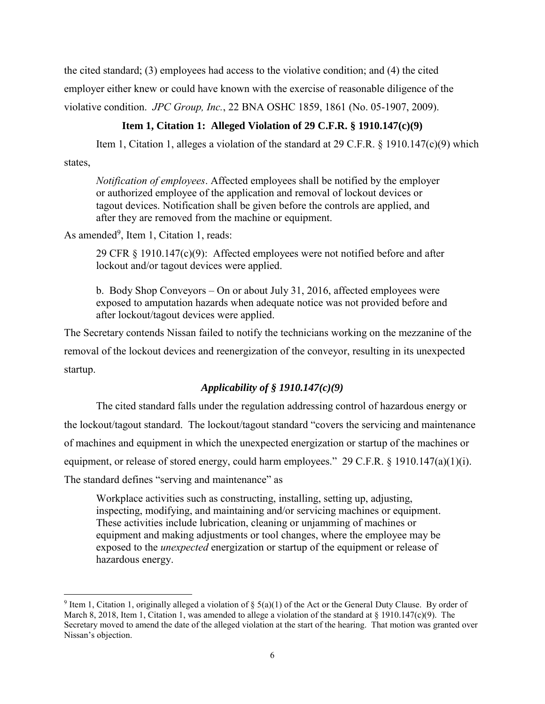the cited standard; (3) employees had access to the violative condition; and (4) the cited employer either knew or could have known with the exercise of reasonable diligence of the violative condition. *JPC Group, Inc.*, 22 BNA OSHC 1859, 1861 (No. 05-1907, 2009).

## **Item 1, Citation 1: Alleged Violation of 29 C.F.R. § 1910.147(c)(9)**

Item 1, Citation 1, alleges a violation of the standard at 29 C.F.R. § 1910.147(c)(9) which states,

*Notification of employees*. Affected employees shall be notified by the employer or authorized employee of the application and removal of lockout devices or tagout devices. Notification shall be given before the controls are applied, and after they are removed from the machine or equipment.

As amended<sup>9</sup>, Item 1, Citation 1, reads:

29 CFR § 1910.147(c)(9): Affected employees were not notified before and after lockout and/or tagout devices were applied.

b. Body Shop Conveyors – On or about July 31, 2016, affected employees were exposed to amputation hazards when adequate notice was not provided before and after lockout/tagout devices were applied.

The Secretary contends Nissan failed to notify the technicians working on the mezzanine of the removal of the lockout devices and reenergization of the conveyor, resulting in its unexpected startup.

## *Applicability of § 1910.147(c)(9)*

The cited standard falls under the regulation addressing control of hazardous energy or the lockout/tagout standard. The lockout/tagout standard "covers the servicing and maintenance of machines and equipment in which the unexpected energization or startup of the machines or equipment, or release of stored energy, could harm employees." 29 C.F.R. § 1910.147(a)(1)(i). The standard defines "serving and maintenance" as

Workplace activities such as constructing, installing, setting up, adjusting, inspecting, modifying, and maintaining and/or servicing machines or equipment. These activities include lubrication, cleaning or unjamming of machines or equipment and making adjustments or tool changes, where the employee may be exposed to the *unexpected* energization or startup of the equipment or release of hazardous energy.

<sup>&</sup>lt;sup>9</sup> Item 1, Citation 1, originally alleged a violation of § 5(a)(1) of the Act or the General Duty Clause. By order of March 8, 2018, Item 1, Citation 1, was amended to allege a violation of the standard at  $\S$  1910.147(c)(9). The Secretary moved to amend the date of the alleged violation at the start of the hearing. That motion was granted over Nissan's objection.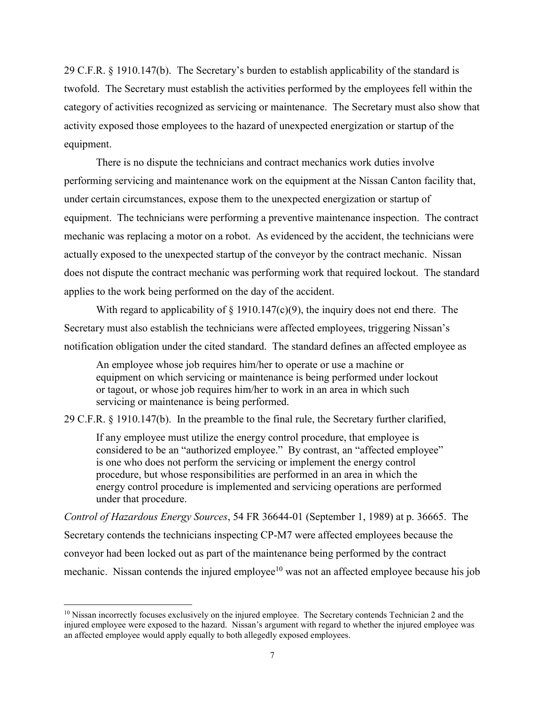29 C.F.R. § 1910.147(b). The Secretary's burden to establish applicability of the standard is twofold. The Secretary must establish the activities performed by the employees fell within the category of activities recognized as servicing or maintenance. The Secretary must also show that activity exposed those employees to the hazard of unexpected energization or startup of the equipment.

There is no dispute the technicians and contract mechanics work duties involve performing servicing and maintenance work on the equipment at the Nissan Canton facility that, under certain circumstances, expose them to the unexpected energization or startup of equipment. The technicians were performing a preventive maintenance inspection. The contract mechanic was replacing a motor on a robot. As evidenced by the accident, the technicians were actually exposed to the unexpected startup of the conveyor by the contract mechanic. Nissan does not dispute the contract mechanic was performing work that required lockout. The standard applies to the work being performed on the day of the accident.

With regard to applicability of  $\S$  1910.147(c)(9), the inquiry does not end there. The Secretary must also establish the technicians were affected employees, triggering Nissan's notification obligation under the cited standard. The standard defines an affected employee as

An employee whose job requires him/her to operate or use a machine or equipment on which servicing or maintenance is being performed under lockout or tagout, or whose job requires him/her to work in an area in which such servicing or maintenance is being performed.

29 C.F.R. § 1910.147(b). In the preamble to the final rule, the Secretary further clarified,

If any employee must utilize the energy control procedure, that employee is considered to be an "authorized employee." By contrast, an "affected employee" is one who does not perform the servicing or implement the energy control procedure, but whose responsibilities are performed in an area in which the energy control procedure is implemented and servicing operations are performed under that procedure.

*Control of Hazardous Energy Sources*, 54 FR 36644-01 (September 1, 1989) at p. 36665. The Secretary contends the technicians inspecting CP-M7 were affected employees because the conveyor had been locked out as part of the maintenance being performed by the contract mechanic. Nissan contends the injured employee $10$  was not an affected employee because his job

<sup>&</sup>lt;sup>10</sup> Nissan incorrectly focuses exclusively on the injured employee. The Secretary contends Technician 2 and the injured employee were exposed to the hazard. Nissan's argument with regard to whether the injured employee was an affected employee would apply equally to both allegedly exposed employees.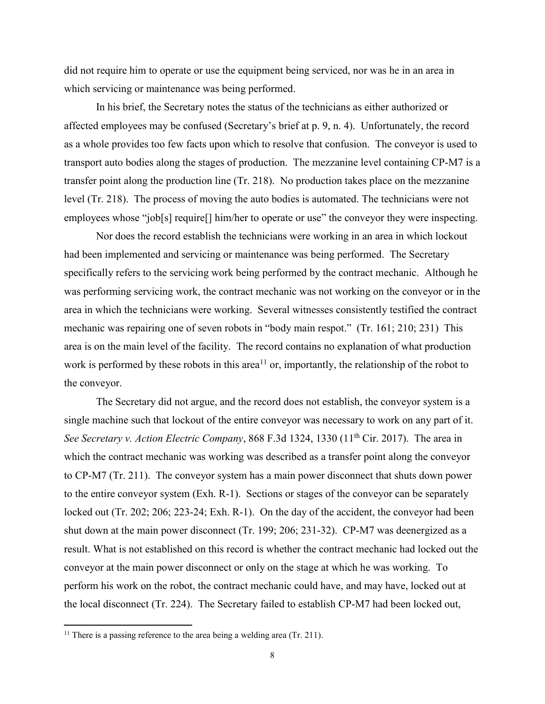did not require him to operate or use the equipment being serviced, nor was he in an area in which servicing or maintenance was being performed.

In his brief, the Secretary notes the status of the technicians as either authorized or affected employees may be confused (Secretary's brief at p. 9, n. 4). Unfortunately, the record as a whole provides too few facts upon which to resolve that confusion. The conveyor is used to transport auto bodies along the stages of production. The mezzanine level containing CP-M7 is a transfer point along the production line (Tr. 218). No production takes place on the mezzanine level (Tr. 218). The process of moving the auto bodies is automated. The technicians were not employees whose "job[s] require[] him/her to operate or use" the conveyor they were inspecting.

Nor does the record establish the technicians were working in an area in which lockout had been implemented and servicing or maintenance was being performed. The Secretary specifically refers to the servicing work being performed by the contract mechanic. Although he was performing servicing work, the contract mechanic was not working on the conveyor or in the area in which the technicians were working. Several witnesses consistently testified the contract mechanic was repairing one of seven robots in "body main respot." (Tr. 161; 210; 231) This area is on the main level of the facility. The record contains no explanation of what production work is performed by these robots in this area<sup>11</sup> or, importantly, the relationship of the robot to the conveyor.

The Secretary did not argue, and the record does not establish, the conveyor system is a single machine such that lockout of the entire conveyor was necessary to work on any part of it. *See Secretary v. Action Electric Company*, 868 F.3d 1324, 1330 (11<sup>th</sup> Cir. 2017). The area in which the contract mechanic was working was described as a transfer point along the conveyor to CP-M7 (Tr. 211). The conveyor system has a main power disconnect that shuts down power to the entire conveyor system (Exh. R-1). Sections or stages of the conveyor can be separately locked out (Tr. 202; 206; 223-24; Exh. R-1). On the day of the accident, the conveyor had been shut down at the main power disconnect (Tr. 199; 206; 231-32). CP-M7 was deenergized as a result. What is not established on this record is whether the contract mechanic had locked out the conveyor at the main power disconnect or only on the stage at which he was working. To perform his work on the robot, the contract mechanic could have, and may have, locked out at the local disconnect (Tr. 224). The Secretary failed to establish CP-M7 had been locked out,

<sup>&</sup>lt;sup>11</sup> There is a passing reference to the area being a welding area (Tr. 211).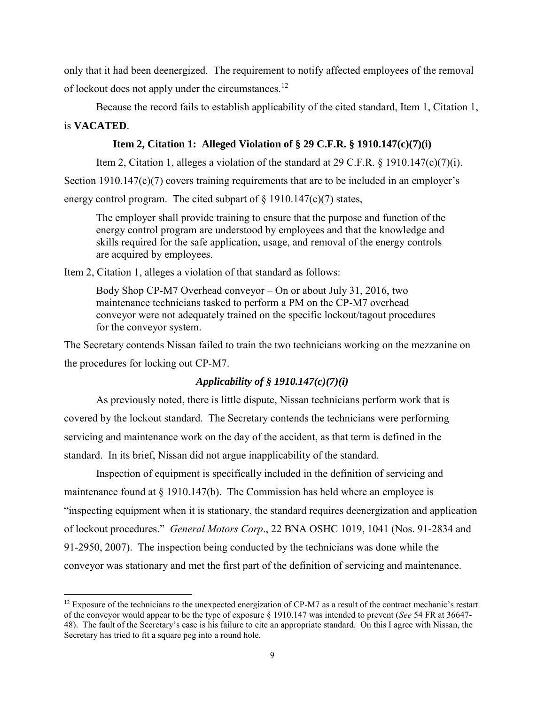only that it had been deenergized. The requirement to notify affected employees of the removal of lockout does not apply under the circumstances.<sup>12</sup>

Because the record fails to establish applicability of the cited standard, Item 1, Citation 1, is **VACATED**.

## **Item 2, Citation 1: Alleged Violation of § 29 C.F.R. § 1910.147(c)(7)(i)**

Item 2, Citation 1, alleges a violation of the standard at 29 C.F.R.  $\S$  1910.147(c)(7)(i). Section 1910.147(c)(7) covers training requirements that are to be included in an employer's energy control program. The cited subpart of  $\S$  1910.147(c)(7) states,

The employer shall provide training to ensure that the purpose and function of the energy control program are understood by employees and that the knowledge and skills required for the safe application, usage, and removal of the energy controls are acquired by employees.

Item 2, Citation 1, alleges a violation of that standard as follows:

 $\overline{a}$ 

Body Shop CP-M7 Overhead conveyor – On or about July 31, 2016, two maintenance technicians tasked to perform a PM on the CP-M7 overhead conveyor were not adequately trained on the specific lockout/tagout procedures for the conveyor system.

The Secretary contends Nissan failed to train the two technicians working on the mezzanine on the procedures for locking out CP-M7.

## *Applicability of § 1910.147(c)(7)(i)*

As previously noted, there is little dispute, Nissan technicians perform work that is covered by the lockout standard. The Secretary contends the technicians were performing servicing and maintenance work on the day of the accident, as that term is defined in the standard. In its brief, Nissan did not argue inapplicability of the standard.

Inspection of equipment is specifically included in the definition of servicing and maintenance found at  $\S 1910.147(b)$ . The Commission has held where an employee is "inspecting equipment when it is stationary, the standard requires deenergization and application of lockout procedures." *General Motors Corp*., 22 BNA OSHC 1019, 1041 (Nos. 91-2834 and 91-2950, 2007). The inspection being conducted by the technicians was done while the conveyor was stationary and met the first part of the definition of servicing and maintenance.

 $12$  Exposure of the technicians to the unexpected energization of CP-M7 as a result of the contract mechanic's restart of the conveyor would appear to be the type of exposure § 1910.147 was intended to prevent (*See* 54 FR at 36647- 48). The fault of the Secretary's case is his failure to cite an appropriate standard. On this I agree with Nissan, the Secretary has tried to fit a square peg into a round hole.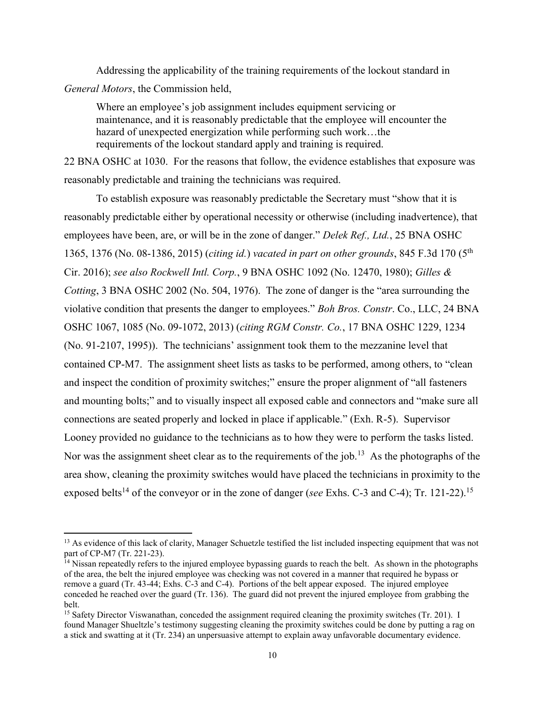Addressing the applicability of the training requirements of the lockout standard in *General Motors*, the Commission held,

Where an employee's job assignment includes equipment servicing or maintenance, and it is reasonably predictable that the employee will encounter the hazard of unexpected energization while performing such work…the requirements of the lockout standard apply and training is required.

22 BNA OSHC at 1030. For the reasons that follow, the evidence establishes that exposure was reasonably predictable and training the technicians was required.

To establish exposure was reasonably predictable the Secretary must "show that it is reasonably predictable either by operational necessity or otherwise (including inadvertence), that employees have been, are, or will be in the zone of danger." *Delek Ref., Ltd.*, 25 BNA OSHC 1365, 1376 (No. 08-1386, 2015) (*citing id.*) *vacated in part on other grounds*, 845 F.3d 170 (5th Cir. 2016); *see also Rockwell Intl. Corp.*, 9 BNA OSHC 1092 (No. 12470, 1980); *Gilles & Cotting*, 3 BNA OSHC 2002 (No. 504, 1976). The zone of danger is the "area surrounding the violative condition that presents the danger to employees." *Boh Bros. Constr*. Co., LLC, 24 BNA OSHC 1067, 1085 (No. 09-1072, 2013) (*citing RGM Constr. Co.*, 17 BNA OSHC 1229, 1234 (No. 91-2107, 1995)). The technicians' assignment took them to the mezzanine level that contained CP-M7. The assignment sheet lists as tasks to be performed, among others, to "clean and inspect the condition of proximity switches;" ensure the proper alignment of "all fasteners and mounting bolts;" and to visually inspect all exposed cable and connectors and "make sure all connections are seated properly and locked in place if applicable." (Exh. R-5). Supervisor Looney provided no guidance to the technicians as to how they were to perform the tasks listed. Nor was the assignment sheet clear as to the requirements of the job.<sup>13</sup> As the photographs of the area show, cleaning the proximity switches would have placed the technicians in proximity to the exposed belts<sup>14</sup> of the conveyor or in the zone of danger (*see* Exhs. C-3 and C-4); Tr. 121-22).<sup>15</sup>

 $\overline{a}$ 

<sup>&</sup>lt;sup>13</sup> As evidence of this lack of clarity, Manager Schuetzle testified the list included inspecting equipment that was not part of CP-M7 (Tr. 221-23).

<sup>&</sup>lt;sup>14</sup> Nissan repeatedly refers to the injured employee bypassing guards to reach the belt. As shown in the photographs of the area, the belt the injured employee was checking was not covered in a manner that required he bypass or remove a guard (Tr. 43-44; Exhs. C-3 and C-4). Portions of the belt appear exposed. The injured employee conceded he reached over the guard (Tr. 136). The guard did not prevent the injured employee from grabbing the belt.

<sup>&</sup>lt;sup>15</sup> Safety Director Viswanathan, conceded the assignment required cleaning the proximity switches (Tr. 201). I found Manager Shueltzle's testimony suggesting cleaning the proximity switches could be done by putting a rag on a stick and swatting at it (Tr. 234) an unpersuasive attempt to explain away unfavorable documentary evidence.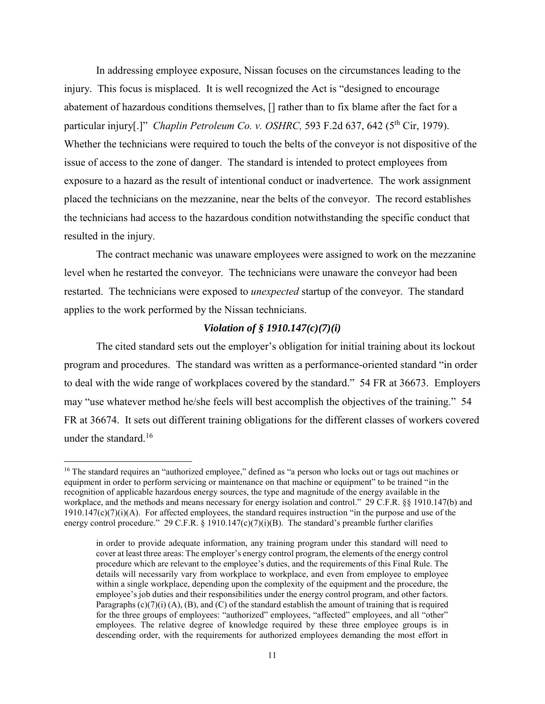In addressing employee exposure, Nissan focuses on the circumstances leading to the injury. This focus is misplaced. It is well recognized the Act is "designed to encourage abatement of hazardous conditions themselves, [] rather than to fix blame after the fact for a particular injury[.]" *Chaplin Petroleum Co. v. OSHRC*, 593 F.2d 637, 642 (5<sup>th</sup> Cir, 1979). Whether the technicians were required to touch the belts of the conveyor is not dispositive of the issue of access to the zone of danger. The standard is intended to protect employees from exposure to a hazard as the result of intentional conduct or inadvertence. The work assignment placed the technicians on the mezzanine, near the belts of the conveyor. The record establishes the technicians had access to the hazardous condition notwithstanding the specific conduct that resulted in the injury.

The contract mechanic was unaware employees were assigned to work on the mezzanine level when he restarted the conveyor. The technicians were unaware the conveyor had been restarted. The technicians were exposed to *unexpected* startup of the conveyor. The standard applies to the work performed by the Nissan technicians.

# *Violation of § 1910.147(c)(7)(i)*

The cited standard sets out the employer's obligation for initial training about its lockout program and procedures. The standard was written as a performance-oriented standard "in order to deal with the wide range of workplaces covered by the standard." 54 FR at 36673. Employers may "use whatever method he/she feels will best accomplish the objectives of the training." 54 FR at 36674. It sets out different training obligations for the different classes of workers covered under the standard.<sup>16</sup>

l

<sup>&</sup>lt;sup>16</sup> The standard requires an "authorized employee," defined as "a person who locks out or tags out machines or equipment in order to perform servicing or maintenance on that machine or equipment" to be trained "in the recognition of applicable hazardous energy sources, the type and magnitude of the energy available in the workplace, and the methods and means necessary for energy isolation and control." 29 C.F.R. §§ 1910.147(b) and  $1910.147(c)(7)(i)(A)$ . For affected employees, the standard requires instruction "in the purpose and use of the energy control procedure." 29 C.F.R. § 1910.147(c)(7)(i)(B). The standard's preamble further clarifies

in order to provide adequate information, any training program under this standard will need to cover at least three areas: The employer's energy control program, the elements of the energy control procedure which are relevant to the employee's duties, and the requirements of this Final Rule. The details will necessarily vary from workplace to workplace, and even from employee to employee within a single workplace, depending upon the complexity of the equipment and the procedure, the employee's job duties and their responsibilities under the energy control program, and other factors. Paragraphs  $(c)(7)(i)$  (A), (B), and (C) of the standard establish the amount of training that is required for the three groups of employees: "authorized" employees, "affected" employees, and all "other" employees. The relative degree of knowledge required by these three employee groups is in descending order, with the requirements for authorized employees demanding the most effort in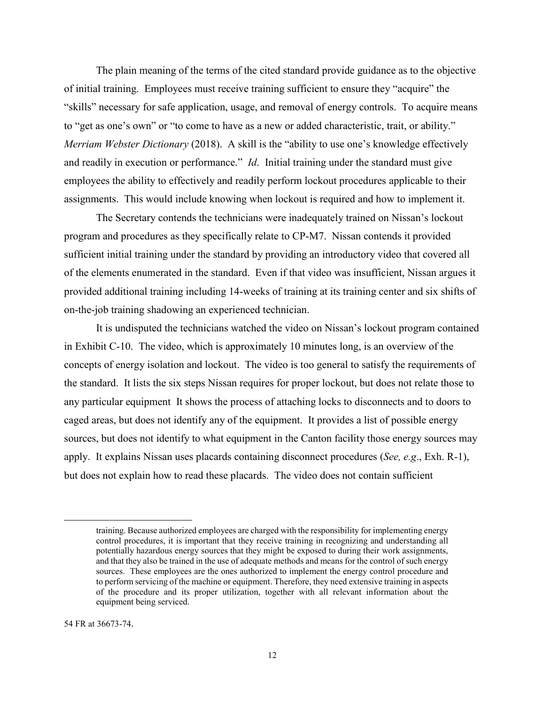The plain meaning of the terms of the cited standard provide guidance as to the objective of initial training. Employees must receive training sufficient to ensure they "acquire" the "skills" necessary for safe application, usage, and removal of energy controls. To acquire means to "get as one's own" or "to come to have as a new or added characteristic, trait, or ability." *Merriam Webster Dictionary* (2018). A skill is the "ability to use one's knowledge effectively and readily in execution or performance." *Id*. Initial training under the standard must give employees the ability to effectively and readily perform lockout procedures applicable to their assignments. This would include knowing when lockout is required and how to implement it.

The Secretary contends the technicians were inadequately trained on Nissan's lockout program and procedures as they specifically relate to CP-M7. Nissan contends it provided sufficient initial training under the standard by providing an introductory video that covered all of the elements enumerated in the standard. Even if that video was insufficient, Nissan argues it provided additional training including 14-weeks of training at its training center and six shifts of on-the-job training shadowing an experienced technician.

It is undisputed the technicians watched the video on Nissan's lockout program contained in Exhibit C-10. The video, which is approximately 10 minutes long, is an overview of the concepts of energy isolation and lockout. The video is too general to satisfy the requirements of the standard. It lists the six steps Nissan requires for proper lockout, but does not relate those to any particular equipment It shows the process of attaching locks to disconnects and to doors to caged areas, but does not identify any of the equipment. It provides a list of possible energy sources, but does not identify to what equipment in the Canton facility those energy sources may apply. It explains Nissan uses placards containing disconnect procedures (*See, e.g*., Exh. R-1), but does not explain how to read these placards. The video does not contain sufficient

l

training. Because authorized employees are charged with the responsibility for implementing energy control procedures, it is important that they receive training in recognizing and understanding all potentially hazardous energy sources that they might be exposed to during their work assignments, and that they also be trained in the use of adequate methods and means for the control of such energy sources. These employees are the ones authorized to implement the energy control procedure and to perform servicing of the machine or equipment. Therefore, they need extensive training in aspects of the procedure and its proper utilization, together with all relevant information about the equipment being serviced.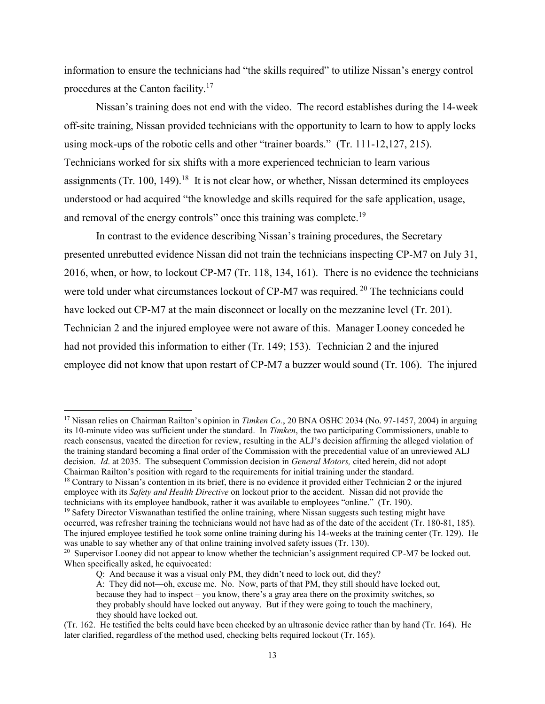information to ensure the technicians had "the skills required" to utilize Nissan's energy control procedures at the Canton facility.<sup>17</sup>

Nissan's training does not end with the video. The record establishes during the 14-week off-site training, Nissan provided technicians with the opportunity to learn to how to apply locks using mock-ups of the robotic cells and other "trainer boards." (Tr. 111-12,127, 215). Technicians worked for six shifts with a more experienced technician to learn various assignments (Tr. 100, 149).<sup>18</sup> It is not clear how, or whether, Nissan determined its employees understood or had acquired "the knowledge and skills required for the safe application, usage, and removal of the energy controls" once this training was complete.<sup>19</sup>

In contrast to the evidence describing Nissan's training procedures, the Secretary presented unrebutted evidence Nissan did not train the technicians inspecting CP-M7 on July 31, 2016, when, or how, to lockout CP-M7 (Tr. 118, 134, 161). There is no evidence the technicians were told under what circumstances lockout of CP-M7 was required. <sup>20</sup> The technicians could have locked out CP-M7 at the main disconnect or locally on the mezzanine level (Tr. 201). Technician 2 and the injured employee were not aware of this. Manager Looney conceded he had not provided this information to either (Tr. 149; 153). Technician 2 and the injured employee did not know that upon restart of CP-M7 a buzzer would sound (Tr. 106). The injured

<sup>&</sup>lt;sup>17</sup> Nissan relies on Chairman Railton's opinion in *Timken Co.*, 20 BNA OSHC 2034 (No. 97-1457, 2004) in arguing its 10-minute video was sufficient under the standard. In *Timken*, the two participating Commissioners, unable to reach consensus, vacated the direction for review, resulting in the ALJ's decision affirming the alleged violation of the training standard becoming a final order of the Commission with the precedential value of an unreviewed ALJ decision. *Id*. at 2035. The subsequent Commission decision in *General Motors,* cited herein, did not adopt Chairman Railton's position with regard to the requirements for initial training under the standard.

<sup>&</sup>lt;sup>18</sup> Contrary to Nissan's contention in its brief, there is no evidence it provided either Technician 2 or the injured employee with its *Safety and Health Directive* on lockout prior to the accident. Nissan did not provide the technicians with its employee handbook, rather it was available to employees "online." (Tr. 190).

 $19$  Safety Director Viswanathan testified the online training, where Nissan suggests such testing might have occurred, was refresher training the technicians would not have had as of the date of the accident (Tr. 180-81, 185). The injured employee testified he took some online training during his 14-weeks at the training center (Tr. 129). He was unable to say whether any of that online training involved safety issues (Tr. 130).

<sup>&</sup>lt;sup>20</sup> Supervisor Looney did not appear to know whether the technician's assignment required CP-M7 be locked out. When specifically asked, he equivocated:

Q: And because it was a visual only PM, they didn't need to lock out, did they?

A: They did not—oh, excuse me. No. Now, parts of that PM, they still should have locked out, because they had to inspect – you know, there's a gray area there on the proximity switches, so they probably should have locked out anyway. But if they were going to touch the machinery, they should have locked out.

<sup>(</sup>Tr. 162. He testified the belts could have been checked by an ultrasonic device rather than by hand (Tr. 164). He later clarified, regardless of the method used, checking belts required lockout (Tr. 165).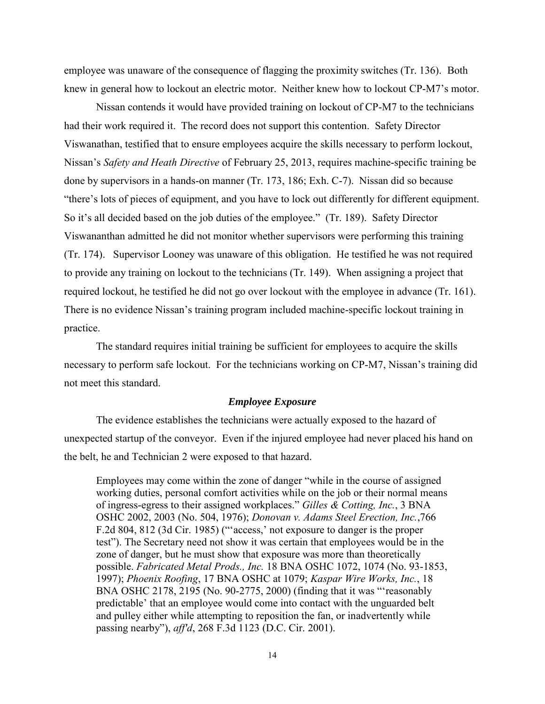employee was unaware of the consequence of flagging the proximity switches (Tr. 136). Both knew in general how to lockout an electric motor. Neither knew how to lockout CP-M7's motor.

Nissan contends it would have provided training on lockout of CP-M7 to the technicians had their work required it. The record does not support this contention. Safety Director Viswanathan, testified that to ensure employees acquire the skills necessary to perform lockout, Nissan's *Safety and Heath Directive* of February 25, 2013, requires machine-specific training be done by supervisors in a hands-on manner (Tr. 173, 186; Exh. C-7). Nissan did so because "there's lots of pieces of equipment, and you have to lock out differently for different equipment. So it's all decided based on the job duties of the employee." (Tr. 189). Safety Director Viswananthan admitted he did not monitor whether supervisors were performing this training (Tr. 174). Supervisor Looney was unaware of this obligation. He testified he was not required to provide any training on lockout to the technicians (Tr. 149). When assigning a project that required lockout, he testified he did not go over lockout with the employee in advance (Tr. 161). There is no evidence Nissan's training program included machine-specific lockout training in practice.

The standard requires initial training be sufficient for employees to acquire the skills necessary to perform safe lockout. For the technicians working on CP-M7, Nissan's training did not meet this standard.

### *Employee Exposure*

The evidence establishes the technicians were actually exposed to the hazard of unexpected startup of the conveyor. Even if the injured employee had never placed his hand on the belt, he and Technician 2 were exposed to that hazard.

Employees may come within the zone of danger "while in the course of assigned working duties, personal comfort activities while on the job or their normal means of ingress-egress to their assigned workplaces." *Gilles & Cotting, Inc.*, [3 BNA](http://safety.bna.com/sfrc/display/link_res.adp?fedfid=133165956&fname=oshc_3_2002&vname=esoshdec)  [OSHC 2002,](http://safety.bna.com/sfrc/display/link_res.adp?fedfid=133165956&fname=oshc_3_2002&vname=esoshdec) 2003 (No. 504, 1976); *Donovan v. Adams Steel Erection, Inc.*,766 F.2d 804, 812 (3d Cir. 1985) ("'access,' not exposure to danger is the proper test"). The Secretary need not show it was certain that employees would be in the zone of danger, but he must show that exposure was more than theoretically possible. *Fabricated Metal Prods., Inc.* [18 BNA OSHC 1072,](http://safety.bna.com/sfrc/display/link_res.adp?fedfid=133165956&fname=oshc_18_1072&vname=esoshdec) 1074 (No. 93-1853, 1997); *Phoenix Roofing*, [17 BNA OSHC at 1079;](http://safety.bna.com/sfrc/display/link_res.adp?fedfid=133165956&fname=bna_reporter_page_oshc_17_1079&vname=esoshdec) *Kaspar Wire Works, Inc.*, [18](http://safety.bna.com/sfrc/display/link_res.adp?fedfid=133165956&fname=oshc_18_2178&vname=esoshdec)  [BNA OSHC 2178,](http://safety.bna.com/sfrc/display/link_res.adp?fedfid=133165956&fname=oshc_18_2178&vname=esoshdec) 2195 (No. 90-2775, 2000) (finding that it was "'reasonably predictable' that an employee would come into contact with the unguarded belt and pulley either while attempting to reposition the fan, or inadvertently while passing nearby"), *aff'd*, 268 F.3d 1123 (D.C. Cir. 2001).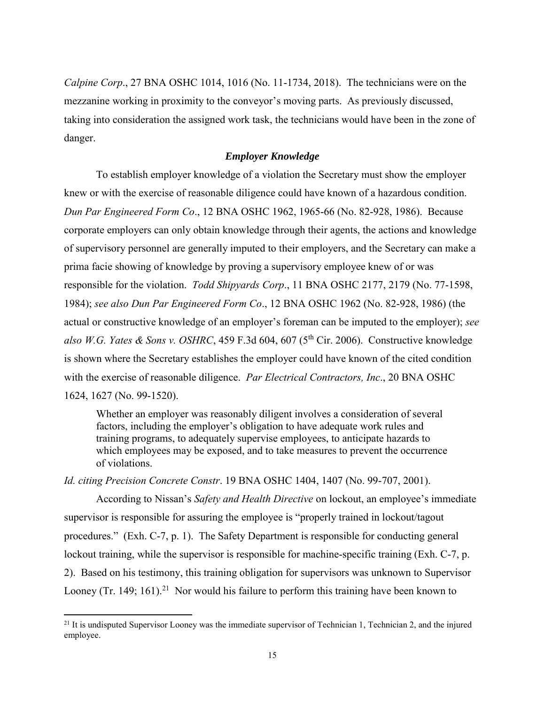*Calpine Corp*., 27 BNA OSHC 1014, 1016 (No. 11-1734, 2018). The technicians were on the mezzanine working in proximity to the conveyor's moving parts. As previously discussed, taking into consideration the assigned work task, the technicians would have been in the zone of danger.

## *Employer Knowledge*

To establish employer knowledge of a violation the Secretary must show the employer knew or with the exercise of reasonable diligence could have known of a hazardous condition. *Dun Par Engineered Form Co*., 12 BNA OSHC 1962, 1965-66 (No. 82-928, 1986). Because corporate employers can only obtain knowledge through their agents, the actions and knowledge of supervisory personnel are generally imputed to their employers, and the Secretary can make a prima facie showing of knowledge by proving a supervisory employee knew of or was responsible for the violation. *Todd Shipyards Corp*., 11 BNA OSHC 2177, 2179 (No. 77-1598, 1984); *see also Dun Par Engineered Form Co*., 12 BNA OSHC 1962 (No. 82-928, 1986) (the actual or constructive knowledge of an employer's foreman can be imputed to the employer); *see also W.G. Yates & Sons v. OSHRC*, 459 F.3d 604, 607 ( $5<sup>th</sup> Cir. 2006$ ). Constructive knowledge is shown where the Secretary establishes the employer could have known of the cited condition with the exercise of reasonable diligence. *Par Electrical Contractors, Inc*., 20 BNA OSHC 1624, 1627 (No. 99-1520).

Whether an employer was reasonably diligent involves a consideration of several factors, including the employer's obligation to have adequate work rules and training programs, to adequately supervise employees, to anticipate hazards to which employees may be exposed, and to take measures to prevent the occurrence of violations.

*Id. citing Precision Concrete Constr*. 19 BNA OSHC 1404, 1407 (No. 99-707, 2001).

According to Nissan's *Safety and Health Directive* on lockout, an employee's immediate supervisor is responsible for assuring the employee is "properly trained in lockout/tagout procedures." (Exh. C-7, p. 1). The Safety Department is responsible for conducting general lockout training, while the supervisor is responsible for machine-specific training (Exh. C-7, p. 2). Based on his testimony, this training obligation for supervisors was unknown to Supervisor Looney (Tr. 149; 161).<sup>21</sup> Nor would his failure to perform this training have been known to

 $\overline{a}$ 

<sup>&</sup>lt;sup>21</sup> It is undisputed Supervisor Looney was the immediate supervisor of Technician 1, Technician 2, and the injured employee.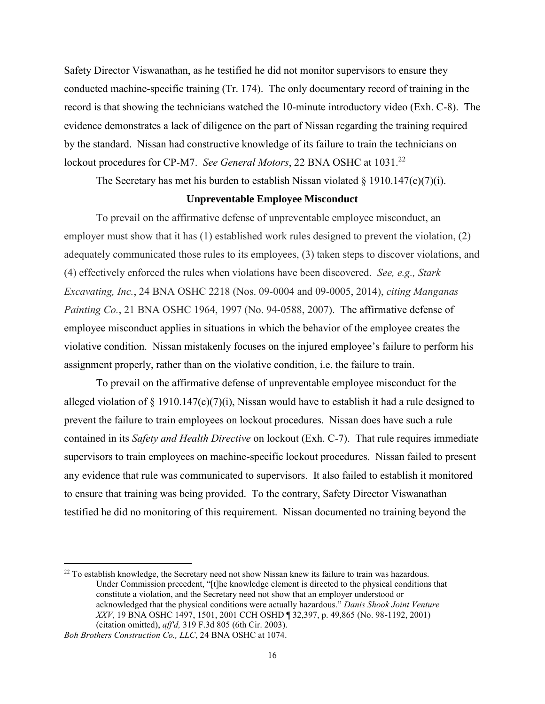Safety Director Viswanathan, as he testified he did not monitor supervisors to ensure they conducted machine-specific training (Tr. 174). The only documentary record of training in the record is that showing the technicians watched the 10-minute introductory video (Exh. C-8). The evidence demonstrates a lack of diligence on the part of Nissan regarding the training required by the standard. Nissan had constructive knowledge of its failure to train the technicians on lockout procedures for CP-M7. *See General Motors*, 22 BNA OSHC at 1031.<sup>22</sup>

The Secretary has met his burden to establish Nissan violated  $\S 1910.147(c)(7)(i)$ .

#### **Unpreventable Employee Misconduct**

To prevail on the affirmative defense of unpreventable employee misconduct, an employer must show that it has (1) established work rules designed to prevent the violation, (2) adequately communicated those rules to its employees, (3) taken steps to discover violations, and (4) effectively enforced the rules when violations have been discovered. *See, e.g., Stark Excavating, Inc.*, 24 BNA OSHC 2218 (Nos. 09-0004 and 09-0005, 2014), *citing Manganas Painting Co.*, 21 BNA OSHC 1964, 1997 (No. 94-0588, 2007). The affirmative defense of employee misconduct applies in situations in which the behavior of the employee creates the violative condition. Nissan mistakenly focuses on the injured employee's failure to perform his assignment properly, rather than on the violative condition, i.e. the failure to train.

To prevail on the affirmative defense of unpreventable employee misconduct for the alleged violation of  $\S$  1910.147(c)(7)(i), Nissan would have to establish it had a rule designed to prevent the failure to train employees on lockout procedures. Nissan does have such a rule contained in its *Safety and Health Directive* on lockout (Exh. C-7). That rule requires immediate supervisors to train employees on machine-specific lockout procedures. Nissan failed to present any evidence that rule was communicated to supervisors. It also failed to establish it monitored to ensure that training was being provided. To the contrary, Safety Director Viswanathan testified he did no monitoring of this requirement. Nissan documented no training beyond the

 $^{22}$  To establish knowledge, the Secretary need not show Nissan knew its failure to train was hazardous. Under Commission precedent, "[t]he knowledge element is directed to the physical conditions that constitute a violation, and the Secretary need not show that an employer understood or acknowledged that the physical conditions were actually hazardous." *Danis Shook Joint Venture XXV*, [19 BNA OSHC 1497,](http://safety.bna.com/sfrc/display/link_res.adp?fedfid=32674701&fname=oshc_19_1497&vname=esoshdec) 1501, 2001 CCH OSHD ¶ 32,397, p. 49,865 (No. 98-1192, 2001) (citation omitted), *aff'd,* 319 F.3d 805 (6th Cir. 2003).

*Boh Brothers Construction Co., LLC*, 24 BNA OSHC at 1074.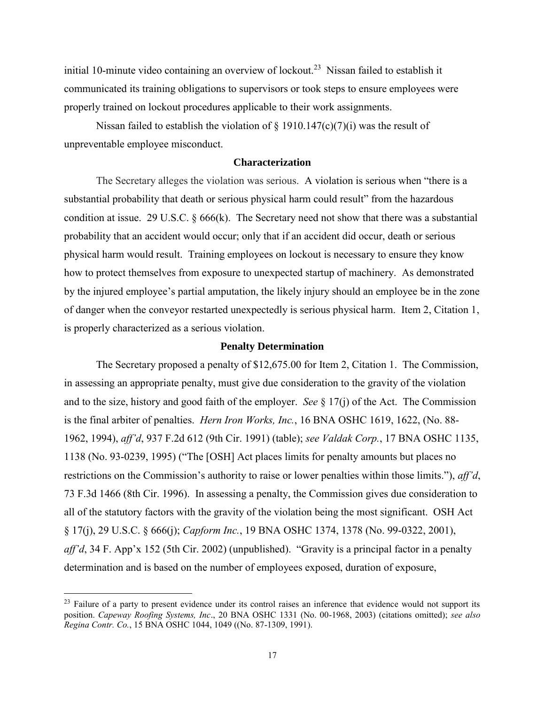initial 10-minute video containing an overview of lockout.<sup>23</sup> Nissan failed to establish it communicated its training obligations to supervisors or took steps to ensure employees were properly trained on lockout procedures applicable to their work assignments.

Nissan failed to establish the violation of  $\S$  1910.147(c)(7)(i) was the result of unpreventable employee misconduct.

### **Characterization**

The Secretary alleges the violation was serious. A violation is serious when "there is a substantial probability that death or serious physical harm could result" from the hazardous condition at issue. 29 U.S.C.  $\S 666(k)$ . The Secretary need not show that there was a substantial probability that an accident would occur; only that if an accident did occur, death or serious physical harm would result. Training employees on lockout is necessary to ensure they know how to protect themselves from exposure to unexpected startup of machinery. As demonstrated by the injured employee's partial amputation, the likely injury should an employee be in the zone of danger when the conveyor restarted unexpectedly is serious physical harm. Item 2, Citation 1, is properly characterized as a serious violation.

### **Penalty Determination**

The Secretary proposed a penalty of \$12,675.00 for Item 2, Citation 1. The Commission, in assessing an appropriate penalty, must give due consideration to the gravity of the violation and to the size, history and good faith of the employer. *See* § 17(j) of the Act. The Commission is the final arbiter of penalties. *Hern Iron Works, Inc.*, 16 BNA OSHC 1619, 1622, (No. 88- 1962, 1994), *aff'd*, 937 F.2d 612 (9th Cir. 1991) (table); *see Valdak Corp.*, 17 BNA OSHC 1135, 1138 (No. 93-0239, 1995) ("The [OSH] Act places limits for penalty amounts but places no restrictions on the Commission's authority to raise or lower penalties within those limits."), *aff'd*, 73 F.3d 1466 (8th Cir. 1996). In assessing a penalty, the Commission gives due consideration to all of the statutory factors with the gravity of the violation being the most significant. OSH Act § 17(j), 29 U.S.C. § 666(j); *Capform Inc.*, 19 BNA OSHC 1374, 1378 (No. 99-0322, 2001), *aff'd*, 34 F. App'x 152 (5th Cir. 2002) (unpublished). "Gravity is a principal factor in a penalty determination and is based on the number of employees exposed, duration of exposure,

 $^{23}$  Failure of a party to present evidence under its control raises an inference that evidence would not support its position. *Capeway Roofing Systems, Inc*., 20 BNA OSHC 1331 (No. 00-1968, 2003) (citations omitted); *see also Regina Contr. Co.*, 15 BNA OSHC 1044, 1049 ((No. 87-1309, 1991).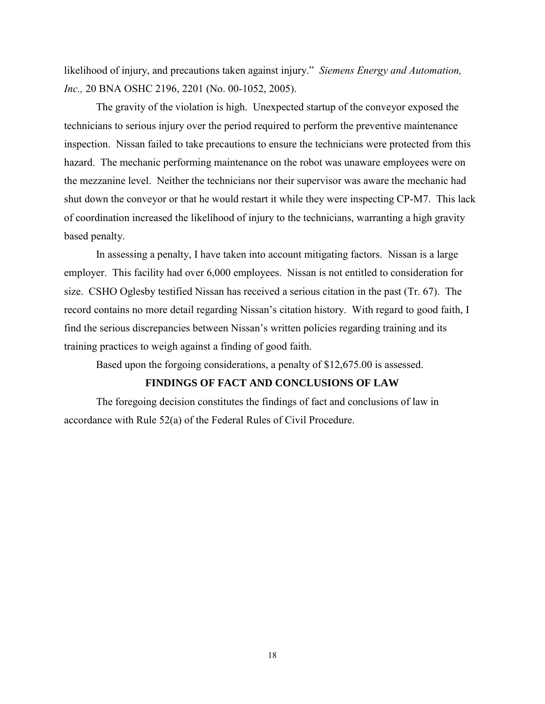likelihood of injury, and precautions taken against injury." *Siemens Energy and Automation, Inc.,* 20 BNA OSHC 2196, 2201 (No. 00-1052, 2005).

The gravity of the violation is high. Unexpected startup of the conveyor exposed the technicians to serious injury over the period required to perform the preventive maintenance inspection. Nissan failed to take precautions to ensure the technicians were protected from this hazard. The mechanic performing maintenance on the robot was unaware employees were on the mezzanine level. Neither the technicians nor their supervisor was aware the mechanic had shut down the conveyor or that he would restart it while they were inspecting CP-M7. This lack of coordination increased the likelihood of injury to the technicians, warranting a high gravity based penalty.

In assessing a penalty, I have taken into account mitigating factors. Nissan is a large employer. This facility had over 6,000 employees. Nissan is not entitled to consideration for size. CSHO Oglesby testified Nissan has received a serious citation in the past (Tr. 67). The record contains no more detail regarding Nissan's citation history. With regard to good faith, I find the serious discrepancies between Nissan's written policies regarding training and its training practices to weigh against a finding of good faith.

Based upon the forgoing considerations, a penalty of \$12,675.00 is assessed.

## **FINDINGS OF FACT AND CONCLUSIONS OF LAW**

The foregoing decision constitutes the findings of fact and conclusions of law in accordance with Rule 52(a) of the Federal Rules of Civil Procedure.